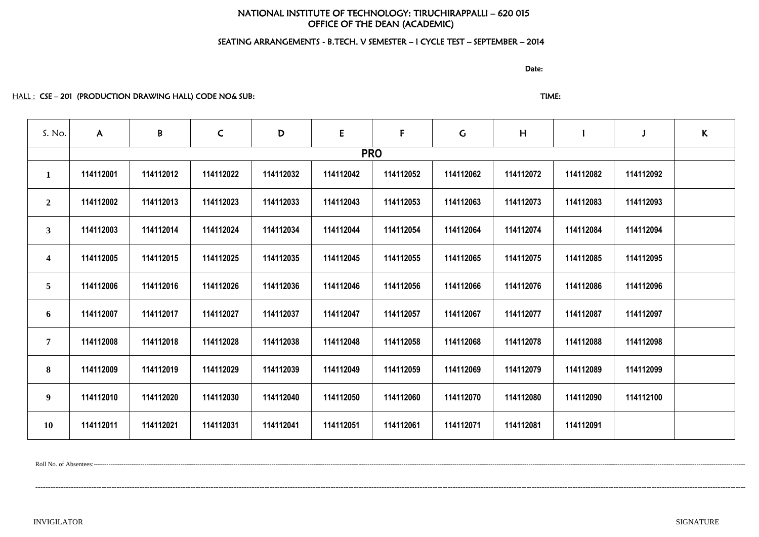# NATIONAL INSTITUTE OF TECHNOLOGY: TIRUCHIRAPPALLI – 620 015 OFFICE OF THE DEAN (ACADEMIC)

# SEATING ARRANGEMENTS - B.TECH. V SEMESTER – I CYCLE TEST – SEPTEMBER – 2014

discussion of the contract of the contract of the Date:

HALL : CSE – 201 (PRODUCTION DRAWING HALL) CODE NO& SUB: TIME: TIME: TIME:

| S. No.                  | $\mathsf{A}$ | B         | $\mathsf{C}$ | D         | ${\sf E}$ | $\mathsf{F}$ | $\mathsf C$ | H         |           |           | $\kappa$ |
|-------------------------|--------------|-----------|--------------|-----------|-----------|--------------|-------------|-----------|-----------|-----------|----------|
|                         |              |           |              |           |           | <b>PRO</b>   |             |           |           |           |          |
| $\mathbf{1}$            | 114112001    | 114112012 | 114112022    | 114112032 | 114112042 | 114112052    | 114112062   | 114112072 | 114112082 | 114112092 |          |
| $\overline{2}$          | 114112002    | 114112013 | 114112023    | 114112033 | 114112043 | 114112053    | 114112063   | 114112073 | 114112083 | 114112093 |          |
| 3 <sup>1</sup>          | 114112003    | 114112014 | 114112024    | 114112034 | 114112044 | 114112054    | 114112064   | 114112074 | 114112084 | 114112094 |          |
| $\overline{\mathbf{4}}$ | 114112005    | 114112015 | 114112025    | 114112035 | 114112045 | 114112055    | 114112065   | 114112075 | 114112085 | 114112095 |          |
| 5 <sup>5</sup>          | 114112006    | 114112016 | 114112026    | 114112036 | 114112046 | 114112056    | 114112066   | 114112076 | 114112086 | 114112096 |          |
| 6                       | 114112007    | 114112017 | 114112027    | 114112037 | 114112047 | 114112057    | 114112067   | 114112077 | 114112087 | 114112097 |          |
| $7\phantom{.}$          | 114112008    | 114112018 | 114112028    | 114112038 | 114112048 | 114112058    | 114112068   | 114112078 | 114112088 | 114112098 |          |
| 8                       | 114112009    | 114112019 | 114112029    | 114112039 | 114112049 | 114112059    | 114112069   | 114112079 | 114112089 | 114112099 |          |
| 9 <sup>1</sup>          | 114112010    | 114112020 | 114112030    | 114112040 | 114112050 | 114112060    | 114112070   | 114112080 | 114112090 | 114112100 |          |
| <b>10</b>               | 114112011    | 114112021 | 114112031    | 114112041 | 114112051 | 114112061    | 114112071   | 114112081 | 114112091 |           |          |

Roll No. of Absentees:-------------------------------------------------------------------------------------------------------------------------------------------------------------------------------------------------------------------------------------------------------------------------------------------------------------------

---------------------------------------------------------------------------------------------------------------------------------------------------------------------------------------------------------------------------------------------------------------------------------------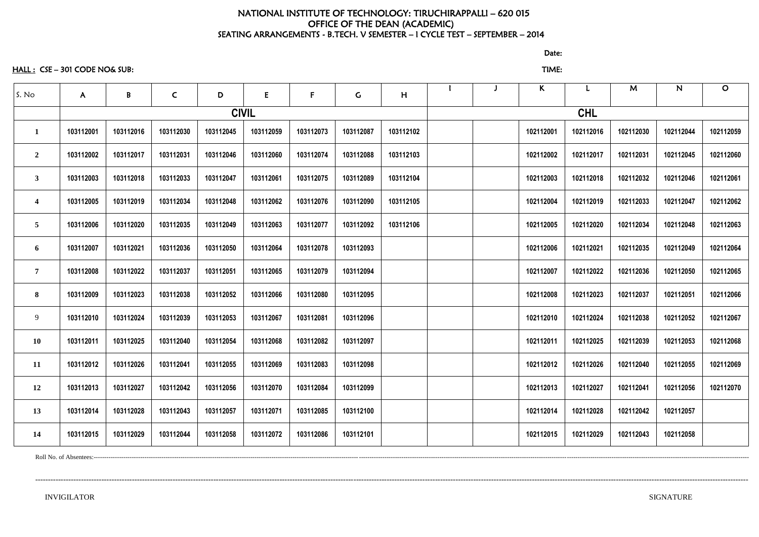# NATIONAL INSTITUTE OF TECHNOLOGY: TIRUCHIRAPPALLI – 620 015 OFFICE OF THE DEAN (ACADEMIC) SEATING ARRANGEMENTS - B.TECH. V SEMESTER – I CYCLE TEST – SEPTEMBER – 2014

HALL : CSE – 301 CODE NO& SUB: TIME:

discussion of the contract of the contract of the Date: the Contract of the Contract of the Contract of the Co

| S. No                   | A         | $\pmb B$  | $\mathsf{C}$ | D         | E            | $\mathsf{F}$ | $\mathsf C$ | H         |  | $\mathsf{K}$ |           | M         | $\mathsf{N}$ | $\mathbf O$ |
|-------------------------|-----------|-----------|--------------|-----------|--------------|--------------|-------------|-----------|--|--------------|-----------|-----------|--------------|-------------|
|                         |           |           |              |           | <b>CIVIL</b> |              |             |           |  |              |           |           |              |             |
|                         | 103112001 | 103112016 | 103112030    | 103112045 | 103112059    | 103112073    | 103112087   | 103112102 |  | 102112001    | 102112016 | 102112030 | 102112044    | 102112059   |
| $\overline{2}$          | 103112002 | 103112017 | 103112031    | 103112046 | 103112060    | 103112074    | 103112088   | 103112103 |  | 102112002    | 102112017 | 102112031 | 102112045    | 102112060   |
| $\overline{\mathbf{3}}$ | 103112003 | 103112018 | 103112033    | 103112047 | 103112061    | 103112075    | 103112089   | 103112104 |  | 102112003    | 102112018 | 102112032 | 102112046    | 102112061   |
| $\overline{\mathbf{4}}$ | 103112005 | 103112019 | 103112034    | 103112048 | 103112062    | 103112076    | 103112090   | 103112105 |  | 102112004    | 102112019 | 102112033 | 102112047    | 102112062   |
| 5                       | 103112006 | 103112020 | 103112035    | 103112049 | 103112063    | 103112077    | 103112092   | 103112106 |  | 102112005    | 102112020 | 102112034 | 102112048    | 102112063   |
| 6                       | 103112007 | 103112021 | 103112036    | 103112050 | 103112064    | 103112078    | 103112093   |           |  | 102112006    | 102112021 | 102112035 | 102112049    | 102112064   |
| $\overline{7}$          | 103112008 | 103112022 | 103112037    | 103112051 | 103112065    | 103112079    | 103112094   |           |  | 102112007    | 102112022 | 102112036 | 102112050    | 102112065   |
| 8                       | 103112009 | 103112023 | 103112038    | 103112052 | 103112066    | 103112080    | 103112095   |           |  | 102112008    | 102112023 | 102112037 | 102112051    | 102112066   |
| 9                       | 103112010 | 103112024 | 103112039    | 103112053 | 103112067    | 103112081    | 103112096   |           |  | 102112010    | 102112024 | 102112038 | 102112052    | 102112067   |
| <b>10</b>               | 103112011 | 103112025 | 103112040    | 103112054 | 103112068    | 103112082    | 103112097   |           |  | 102112011    | 102112025 | 102112039 | 102112053    | 102112068   |
| 11                      | 103112012 | 103112026 | 103112041    | 103112055 | 103112069    | 103112083    | 103112098   |           |  | 102112012    | 102112026 | 102112040 | 102112055    | 102112069   |
| 12                      | 103112013 | 103112027 | 103112042    | 103112056 | 103112070    | 103112084    | 103112099   |           |  | 102112013    | 102112027 | 102112041 | 102112056    | 102112070   |
| 13                      | 103112014 | 103112028 | 103112043    | 103112057 | 103112071    | 103112085    | 103112100   |           |  | 102112014    | 102112028 | 102112042 | 102112057    |             |
| 14                      | 103112015 | 103112029 | 103112044    | 103112058 | 103112072    | 103112086    | 103112101   |           |  | 102112015    | 102112029 | 102112043 | 102112058    |             |

Roll No. of Absentees:---------------------------------------------------------------------------------------------------------------------------------------------------------------------------------------------------------------------------------------------------------------------------------------------------------------------

----------------------------------------------------------------------------------------------------------------------------------------------------------------------------------------------------------------------------------------------------------------------------------------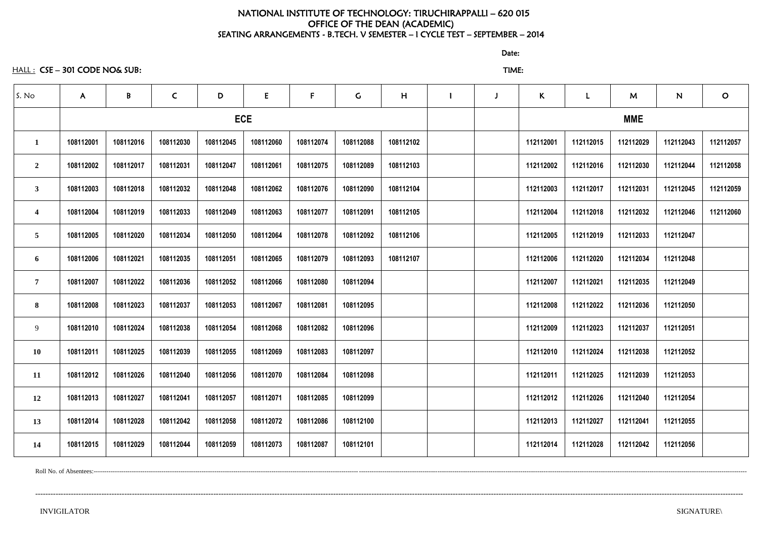# NATIONAL INSTITUTE OF TECHNOLOGY: TIRUCHIRAPPALLI – 620 015 OFFICE OF THE DEAN (ACADEMIC) SEATING ARRANGEMENTS - B.TECH. V SEMESTER – I CYCLE TEST – SEPTEMBER – 2014

discussion of the contract of the contract of the Date:

HALL : CSE – 301 CODE NO& SUB: TIME:

| S. No                   | $\mathsf{A}$ | B         | $\mathsf{C}$ | D         | E          | $\mathsf{F}$ | G         | H         |  | $\mathsf K$ |           | M          | N         | $\mathbf{O}$ |
|-------------------------|--------------|-----------|--------------|-----------|------------|--------------|-----------|-----------|--|-------------|-----------|------------|-----------|--------------|
|                         |              |           |              |           | <b>ECE</b> |              |           |           |  |             |           | <b>MME</b> |           |              |
| $\mathbf 1$             | 108112001    | 108112016 | 108112030    | 108112045 | 108112060  | 108112074    | 108112088 | 108112102 |  | 112112001   | 112112015 | 112112029  | 112112043 | 112112057    |
| $\overline{2}$          | 108112002    | 108112017 | 108112031    | 108112047 | 108112061  | 108112075    | 108112089 | 108112103 |  | 112112002   | 112112016 | 112112030  | 112112044 | 112112058    |
| $\mathbf{3}$            | 108112003    | 108112018 | 108112032    | 108112048 | 108112062  | 108112076    | 108112090 | 108112104 |  | 112112003   | 112112017 | 112112031  | 112112045 | 112112059    |
| $\overline{\mathbf{4}}$ | 108112004    | 108112019 | 108112033    | 108112049 | 108112063  | 108112077    | 108112091 | 108112105 |  | 112112004   | 112112018 | 112112032  | 112112046 | 112112060    |
| $\overline{5}$          | 108112005    | 108112020 | 108112034    | 108112050 | 108112064  | 108112078    | 108112092 | 108112106 |  | 112112005   | 112112019 | 112112033  | 112112047 |              |
| 6                       | 108112006    | 108112021 | 108112035    | 108112051 | 108112065  | 108112079    | 108112093 | 108112107 |  | 112112006   | 112112020 | 112112034  | 112112048 |              |
| $\overline{7}$          | 108112007    | 108112022 | 108112036    | 108112052 | 108112066  | 108112080    | 108112094 |           |  | 112112007   | 112112021 | 112112035  | 112112049 |              |
| 8                       | 108112008    | 108112023 | 108112037    | 108112053 | 108112067  | 108112081    | 108112095 |           |  | 112112008   | 112112022 | 112112036  | 112112050 |              |
| 9                       | 108112010    | 108112024 | 108112038    | 108112054 | 108112068  | 108112082    | 108112096 |           |  | 112112009   | 112112023 | 112112037  | 112112051 |              |
| 10                      | 108112011    | 108112025 | 108112039    | 108112055 | 108112069  | 108112083    | 108112097 |           |  | 112112010   | 112112024 | 112112038  | 112112052 |              |
| 11                      | 108112012    | 108112026 | 108112040    | 108112056 | 108112070  | 108112084    | 108112098 |           |  | 112112011   | 112112025 | 112112039  | 112112053 |              |
| 12                      | 108112013    | 108112027 | 108112041    | 108112057 | 108112071  | 108112085    | 108112099 |           |  | 112112012   | 112112026 | 112112040  | 112112054 |              |
| 13                      | 108112014    | 108112028 | 108112042    | 108112058 | 108112072  | 108112086    | 108112100 |           |  | 112112013   | 112112027 | 112112041  | 112112055 |              |
| 14                      | 108112015    | 108112029 | 108112044    | 108112059 | 108112073  | 108112087    | 108112101 |           |  | 112112014   | 112112028 | 112112042  | 112112056 |              |

Roll No. of Absentees:--------------------------------------------------------------------------------------------------------------------------------------------------------------------------------------------------------------------------------------------------------------------------------------------------------------------

--------------------------------------------------------------------------------------------------------------------------------------------------------------------------------------------------------------------------------------------------------------------------------------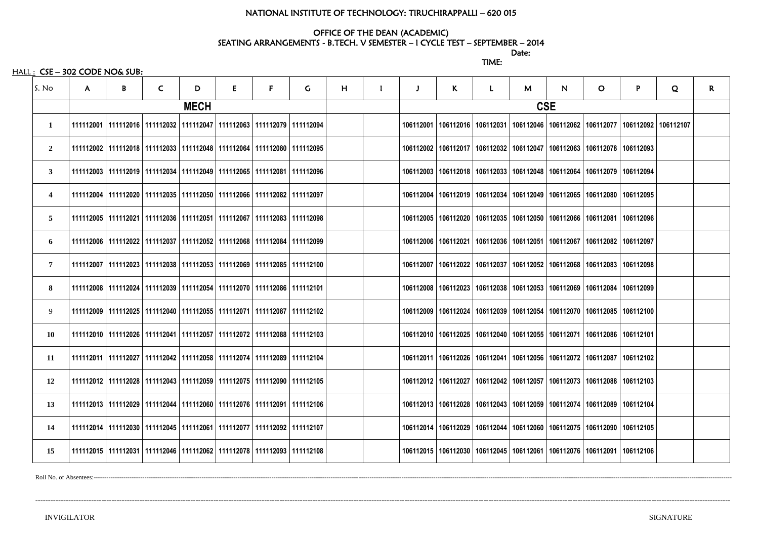### NATIONAL INSTITUTE OF TECHNOLOGY: TIRUCHIRAPPALLI – 620 015

### OFFICE OF THE DEAN (ACADEMIC) SEATING ARRANGEMENTS - B.TECH. V SEMESTER – I CYCLE TEST – SEPTEMBER – 2014

discussion of the contract of the contract of the Date:

TIME:

 $HALL:$   $CSE - 302$  CODE NO& SUB:

| S. No                                                                                                                                                                                                                                                                                                                                                                                                                                                                                                                                                                                                                                                                                                                                                                                                                                                                                                                                                                                                                                                                                                                                                                                                                                                                                                                            | $\mathsf{A}$ | $\mathsf{B}$ | $\mathsf{C}$ | D | E                                                                                 | F | $\mathsf{G}$ | H | J | $\mathsf{K}$ | L | M          | $\mathsf{N}$ | $\overline{O}$                                                                    | P | Q         | R. |
|----------------------------------------------------------------------------------------------------------------------------------------------------------------------------------------------------------------------------------------------------------------------------------------------------------------------------------------------------------------------------------------------------------------------------------------------------------------------------------------------------------------------------------------------------------------------------------------------------------------------------------------------------------------------------------------------------------------------------------------------------------------------------------------------------------------------------------------------------------------------------------------------------------------------------------------------------------------------------------------------------------------------------------------------------------------------------------------------------------------------------------------------------------------------------------------------------------------------------------------------------------------------------------------------------------------------------------|--------------|--------------|--------------|---|-----------------------------------------------------------------------------------|---|--------------|---|---|--------------|---|------------|--------------|-----------------------------------------------------------------------------------|---|-----------|----|
| <b>MECH</b><br>  111112001   111112016   111112032   111112047   111112063   111112079   111112094<br>$\mathbf{1}$<br>  111112002   111112018   111112033   111112048   111112064   111112080   111112095<br>$\overline{2}$<br>  111112003   111112019   111112034   111112049   111112065   111112081   111112096<br>3 <sup>1</sup><br>  111112004   111112020   111112035   111112050   111112066   111112082   111112097<br>4<br>5 <sup>5</sup><br>  111112005   111112021   111112036   111112051   111112067   111112083   111112098<br>  111112006   111112022   111112037   111112052   111112068   111112084   111112099<br>6<br>  111112007   111112023   111112038   111112053   111112069   111112085   111112100<br>$7\overline{ }$<br>8<br>  111112008   111112024   111112039   111112054   111112070   111112086   111112101<br>9<br>  111112009   111112025   111112040   111112055   111112071   111112087   111112102<br>  111112010   111112026   111112041   111112057   111112072   111112088   111112103<br><b>10</b><br>  111112011   111112027   111112042   111112058   111112074   111112089   111112104<br>11<br>111112012   111112028   111112043   111112059   111112075   111112090   111112105<br>12<br>  111112013   111112029   111112044   111112060   111112076   111112091   111112106<br>13 |              |              |              |   |                                                                                   |   |              |   |   |              |   | <b>CSE</b> |              |                                                                                   |   |           |    |
|                                                                                                                                                                                                                                                                                                                                                                                                                                                                                                                                                                                                                                                                                                                                                                                                                                                                                                                                                                                                                                                                                                                                                                                                                                                                                                                                  |              |              |              |   |                                                                                   |   |              |   |   |              |   |            |              | 106112001   106112016   106112031   106112046   106112062   106112077   106112092 |   | 106112107 |    |
|                                                                                                                                                                                                                                                                                                                                                                                                                                                                                                                                                                                                                                                                                                                                                                                                                                                                                                                                                                                                                                                                                                                                                                                                                                                                                                                                  |              |              |              |   |                                                                                   |   |              |   |   |              |   |            |              | 106112002   106112017   106112032   106112047   106112063   106112078   106112093 |   |           |    |
|                                                                                                                                                                                                                                                                                                                                                                                                                                                                                                                                                                                                                                                                                                                                                                                                                                                                                                                                                                                                                                                                                                                                                                                                                                                                                                                                  |              |              |              |   |                                                                                   |   |              |   |   |              |   |            |              | 106112003   106112018   106112033   106112048   106112064   106112079   106112094 |   |           |    |
|                                                                                                                                                                                                                                                                                                                                                                                                                                                                                                                                                                                                                                                                                                                                                                                                                                                                                                                                                                                                                                                                                                                                                                                                                                                                                                                                  |              |              |              |   |                                                                                   |   |              |   |   |              |   |            |              | 106112004   106112019   106112034   106112049   106112065   106112080   106112095 |   |           |    |
|                                                                                                                                                                                                                                                                                                                                                                                                                                                                                                                                                                                                                                                                                                                                                                                                                                                                                                                                                                                                                                                                                                                                                                                                                                                                                                                                  |              |              |              |   |                                                                                   |   |              |   |   |              |   |            |              | 106112005   106112020   106112035   106112050   106112066   106112081   106112096 |   |           |    |
|                                                                                                                                                                                                                                                                                                                                                                                                                                                                                                                                                                                                                                                                                                                                                                                                                                                                                                                                                                                                                                                                                                                                                                                                                                                                                                                                  |              |              |              |   |                                                                                   |   |              |   |   |              |   |            |              | 106112006   106112021   106112036   106112051   106112067   106112082   106112097 |   |           |    |
|                                                                                                                                                                                                                                                                                                                                                                                                                                                                                                                                                                                                                                                                                                                                                                                                                                                                                                                                                                                                                                                                                                                                                                                                                                                                                                                                  |              |              |              |   |                                                                                   |   |              |   |   |              |   |            |              | 106112007   106112022   106112037   106112052   106112068   106112083   106112098 |   |           |    |
|                                                                                                                                                                                                                                                                                                                                                                                                                                                                                                                                                                                                                                                                                                                                                                                                                                                                                                                                                                                                                                                                                                                                                                                                                                                                                                                                  |              |              |              |   |                                                                                   |   |              |   |   |              |   |            |              | 106112008   106112023   106112038   106112053   106112069   106112084   106112099 |   |           |    |
|                                                                                                                                                                                                                                                                                                                                                                                                                                                                                                                                                                                                                                                                                                                                                                                                                                                                                                                                                                                                                                                                                                                                                                                                                                                                                                                                  |              |              |              |   |                                                                                   |   |              |   |   |              |   |            |              | 106112009   106112024   106112039   106112054   106112070   106112085   106112100 |   |           |    |
|                                                                                                                                                                                                                                                                                                                                                                                                                                                                                                                                                                                                                                                                                                                                                                                                                                                                                                                                                                                                                                                                                                                                                                                                                                                                                                                                  |              |              |              |   |                                                                                   |   |              |   |   |              |   |            |              | 106112010   106112025   106112040   106112055   106112071   106112086   106112101 |   |           |    |
|                                                                                                                                                                                                                                                                                                                                                                                                                                                                                                                                                                                                                                                                                                                                                                                                                                                                                                                                                                                                                                                                                                                                                                                                                                                                                                                                  |              |              |              |   |                                                                                   |   |              |   |   |              |   |            |              | 106112011   106112026   106112041   106112056   106112072   106112087   106112102 |   |           |    |
|                                                                                                                                                                                                                                                                                                                                                                                                                                                                                                                                                                                                                                                                                                                                                                                                                                                                                                                                                                                                                                                                                                                                                                                                                                                                                                                                  |              |              |              |   |                                                                                   |   |              |   |   |              |   |            |              | 106112012   106112027   106112042   106112057   106112073   106112088   106112103 |   |           |    |
|                                                                                                                                                                                                                                                                                                                                                                                                                                                                                                                                                                                                                                                                                                                                                                                                                                                                                                                                                                                                                                                                                                                                                                                                                                                                                                                                  |              |              |              |   |                                                                                   |   |              |   |   |              |   |            |              | 106112013   106112028   106112043   106112059   106112074   106112089   106112104 |   |           |    |
| 14                                                                                                                                                                                                                                                                                                                                                                                                                                                                                                                                                                                                                                                                                                                                                                                                                                                                                                                                                                                                                                                                                                                                                                                                                                                                                                                               |              |              |              |   | 111112014   111112030   111112045   111112061   111112077   111112092   111112107 |   |              |   |   |              |   |            |              | 106112014   106112029   106112044   106112060   106112075   106112090   106112105 |   |           |    |
| 15                                                                                                                                                                                                                                                                                                                                                                                                                                                                                                                                                                                                                                                                                                                                                                                                                                                                                                                                                                                                                                                                                                                                                                                                                                                                                                                               |              |              |              |   | 111112015   111112031   111112046   111112062   111112078   111112093   111112108 |   |              |   |   |              |   |            |              | 106112015   106112030   106112045   106112061   106112076   106112091   106112106 |   |           |    |

Roll No. of Absentees:-------------------

---------------------------------------------------------------------------------------------------------------------------------------------------------------------------------------------------------------------------------------------------------------------------------

# 062 | 106112077 | 106112092 | 106112107 063 | 106112078 | 106112093 064 | 106112079 | 106112094 065 | 106112080 | 106112095 066 | 106112081 | 106112096 067 | 106112082 | 106112097 068 | 106112083 | 106112098 069 | 106112084 | 106112099 070 | 106112085 | 106112100 071 | 106112086 | 106112101 072 | 106112087 | 106112102 073 | 106112088 | 106112103 074 | 106112089 | 106112104 075 | 106112090 | 106112105 076 | 106112091 | 106112106